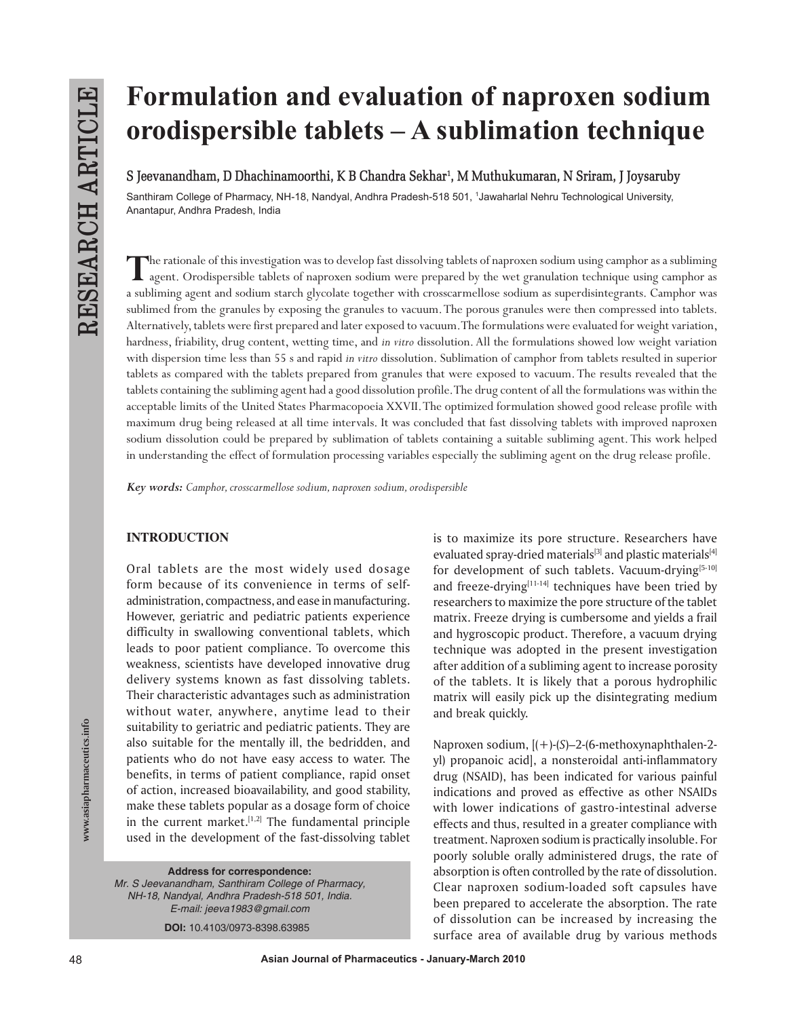# **Formulation and evaluation of naproxen sodium orodispersible tablets – A sublimation technique**

**S Jeevanandham, D Dhachinamoorthi, K B Chandra Sekhar1 , M Muthukumaran, N Sriram, J Joysaruby**

Santhiram College of Pharmacy, NH-18, Nandyal, Andhra Pradesh-518 501, 1 Jawaharlal Nehru Technological University, Anantapur, Andhra Pradesh, India

**T**he rationale of this investigation was to develop fast dissolving tablets of naproxen sodium using camphor as a subliming agent. Orodispersible tablets of naproxen sodium were prepared by the wet granulation technique using camphor as a subliming agent and sodium starch glycolate together with crosscarmellose sodium as superdisintegrants. Camphor was sublimed from the granules by exposing the granules to vacuum. The porous granules were then compressed into tablets. Alternatively, tablets were first prepared and later exposed to vacuum. The formulations were evaluated for weight variation, hardness, friability, drug content, wetting time, and *in vitro* dissolution. All the formulations showed low weight variation with dispersion time less than 55 s and rapid *in vitro* dissolution. Sublimation of camphor from tablets resulted in superior tablets as compared with the tablets prepared from granules that were exposed to vacuum. The results revealed that the tablets containing the subliming agent had a good dissolution profile. The drug content of all the formulations was within the acceptable limits of the United States Pharmacopoeia XXVII. The optimized formulation showed good release profile with maximum drug being released at all time intervals. It was concluded that fast dissolving tablets with improved naproxen sodium dissolution could be prepared by sublimation of tablets containing a suitable subliming agent. This work helped in understanding the effect of formulation processing variables especially the subliming agent on the drug release profile.

*Key words: Camphor, crosscarmellose sodium, naproxen sodium, orodispersible*

# **INTRODUCTION**

Oral tablets are the most widely used dosage form because of its convenience in terms of selfadministration, compactness, and ease in manufacturing. However, geriatric and pediatric patients experience difficulty in swallowing conventional tablets, which leads to poor patient compliance. To overcome this weakness, scientists have developed innovative drug delivery systems known as fast dissolving tablets. Their characteristic advantages such as administration without water, anywhere, anytime lead to their suitability to geriatric and pediatric patients. They are also suitable for the mentally ill, the bedridden, and patients who do not have easy access to water. The benefits, in terms of patient compliance, rapid onset of action, increased bioavailability, and good stability, make these tablets popular as a dosage form of choice in the current market. $[1,2]$  The fundamental principle used in the development of the fast-dissolving tablet

**Address for correspondence:** Mr. S Jeevanandham, Santhiram College of Pharmacy, NH-18, Nandyal, Andhra Pradesh-518 501, India. E-mail: jeeva1983@gmail.com

**DOI:** 10.4103/0973-8398.63985

is to maximize its pore structure. Researchers have evaluated spray-dried materials<sup>[3]</sup> and plastic materials<sup>[4]</sup> for development of such tablets. Vacuum-drying<sup>[5-10]</sup> and freeze-drying $[11-14]$  techniques have been tried by researchers to maximize the pore structure of the tablet matrix. Freeze drying is cumbersome and yields a frail and hygroscopic product. Therefore, a vacuum drying technique was adopted in the present investigation after addition of a subliming agent to increase porosity of the tablets. It is likely that a porous hydrophilic matrix will easily pick up the disintegrating medium and break quickly.

Naproxen sodium, [(+)-(*S*)–2-(6-methoxynaphthalen-2 yl) propanoic acid], a nonsteroidal anti-inflammatory drug (NSAID), has been indicated for various painful indications and proved as effective as other NSAIDs with lower indications of gastro-intestinal adverse effects and thus, resulted in a greater compliance with treatment. Naproxen sodium is practically insoluble. For poorly soluble orally administered drugs, the rate of absorption is often controlled by the rate of dissolution. Clear naproxen sodium-loaded soft capsules have been prepared to accelerate the absorption. The rate of dissolution can be increased by increasing the surface area of available drug by various methods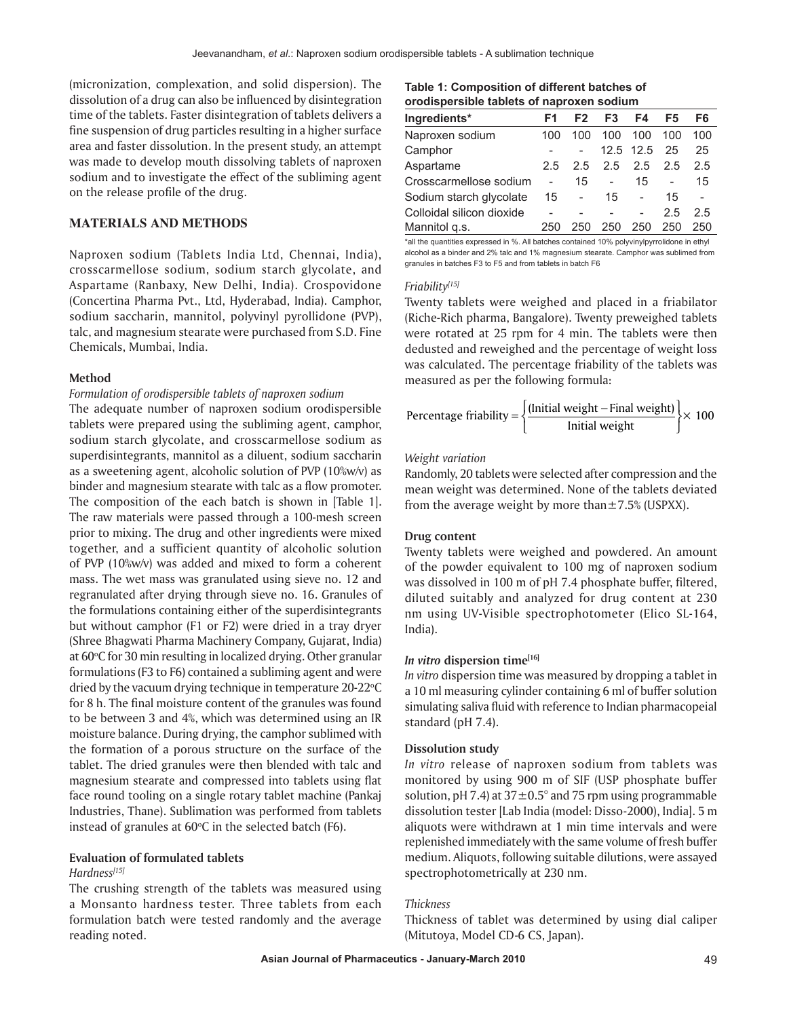(micronization, complexation, and solid dispersion). The dissolution of a drug can also be influenced by disintegration time of the tablets. Faster disintegration of tablets delivers a fine suspension of drug particles resulting in a higher surface area and faster dissolution. In the present study, an attempt was made to develop mouth dissolving tablets of naproxen sodium and to investigate the effect of the subliming agent on the release profile of the drug.

# **MATERIALS AND METHODS**

Naproxen sodium (Tablets India Ltd, Chennai, India), crosscarmellose sodium, sodium starch glycolate, and Aspartame (Ranbaxy, New Delhi, India). Crospovidone (Concertina Pharma Pvt., Ltd, Hyderabad, India). Camphor, sodium saccharin, mannitol, polyvinyl pyrollidone (PVP), talc, and magnesium stearate were purchased from S.D. Fine Chemicals, Mumbai, India.

# **Method**

#### *Formulation of orodispersible tablets of naproxen sodium*

The adequate number of naproxen sodium orodispersible tablets were prepared using the subliming agent, camphor, sodium starch glycolate, and crosscarmellose sodium as superdisintegrants, mannitol as a diluent, sodium saccharin as a sweetening agent, alcoholic solution of PVP (10%w/v) as binder and magnesium stearate with talc as a flow promoter. The composition of the each batch is shown in [Table 1]. The raw materials were passed through a 100-mesh screen prior to mixing. The drug and other ingredients were mixed together, and a sufficient quantity of alcoholic solution of PVP (10%w/v) was added and mixed to form a coherent mass. The wet mass was granulated using sieve no. 12 and regranulated after drying through sieve no. 16. Granules of the formulations containing either of the superdisintegrants but without camphor (F1 or F2) were dried in a tray dryer (Shree Bhagwati Pharma Machinery Company, Gujarat, India) at 60°C for 30 min resulting in localized drying. Other granular formulations (F3 to F6) contained a subliming agent and were dried by the vacuum drying technique in temperature 20-22°C for 8 h. The final moisture content of the granules was found to be between 3 and 4%, which was determined using an IR moisture balance. During drying, the camphor sublimed with the formation of a porous structure on the surface of the tablet. The dried granules were then blended with talc and magnesium stearate and compressed into tablets using flat face round tooling on a single rotary tablet machine (Pankaj Industries, Thane). Sublimation was performed from tablets instead of granules at  $60^{\circ}$ C in the selected batch (F6).

#### **Evaluation of formulated tablets**

#### *Hardness[15]*

The crushing strength of the tablets was measured using a Monsanto hardness tester. Three tablets from each formulation batch were tested randomly and the average reading noted.

# **Table 1: Composition of different batches of orodispersible tablets of naproxen sodium**

| Ingredients*              | F1               | F <sub>2</sub> | F3                       | F4        | F5             | F6  |
|---------------------------|------------------|----------------|--------------------------|-----------|----------------|-----|
| Naproxen sodium           | 100              | 100            | 100                      | 100       | 100            | 100 |
| Camphor                   |                  |                |                          | 12.5 12.5 | 25             | 25  |
| Aspartame                 | 2.5              | 2.5            | 2.5                      | 2.5       | 2.5            | 2.5 |
| Crosscarmellose sodium    | $\overline{a}$   | 15             | $\overline{\phantom{a}}$ | 15        | $\overline{a}$ | 15  |
| Sodium starch glycolate   | 15 <sup>15</sup> | $\overline{a}$ | 15                       |           | 15             |     |
| Colloidal silicon dioxide |                  |                |                          |           | 2.5            | 25  |
| Mannitol q.s.             | 250              | 250            | 250                      | 250       | 250            | 250 |

\*all the quantities expressed in %. All batches contained 10% polyvinylpyrrolidone in ethyl alcohol as a binder and 2% talc and 1% magnesium stearate. Camphor was sublimed from granules in batches F3 to F5 and from tablets in batch F6

# *Friability[15]*

Twenty tablets were weighed and placed in a friabilator (Riche-Rich pharma, Bangalore). Twenty preweighed tablets were rotated at 25 rpm for 4 min. The tablets were then dedusted and reweighed and the percentage of weight loss was calculated. The percentage friability of the tablets was measured as per the following formula:

Percentage friability = 
$$
\left\{ \frac{\text{(Initial weight - Final weight)}}{\text{Initial weight}} \right\} \times 100
$$

#### *Weight variation*

Randomly, 20 tablets were selected after compression and the mean weight was determined. None of the tablets deviated from the average weight by more than*±*7.5% (USPXX).

# **Drug content**

Twenty tablets were weighed and powdered. An amount of the powder equivalent to 100 mg of naproxen sodium was dissolved in 100 m of pH 7.4 phosphate buffer, filtered, diluted suitably and analyzed for drug content at 230 nm using UV-Visible spectrophotometer (Elico SL-164, India).

# *In vitro* **dispersion time[16]**

*In vitro* dispersion time was measured by dropping a tablet in a 10 ml measuring cylinder containing 6 ml of buffer solution simulating saliva fluid with reference to Indian pharmacopeial standard (pH 7.4).

# **Dissolution study**

*In vitro* release of naproxen sodium from tablets was monitored by using 900 m of SIF (USP phosphate buffer solution, pH 7.4) at  $37\pm0.5^{\circ}$  and 75 rpm using programmable dissolution tester [Lab India (model: Disso-2000), India]. 5 m aliquots were withdrawn at 1 min time intervals and were replenished immediately with the same volume of fresh buffer medium. Aliquots, following suitable dilutions, were assayed spectrophotometrically at 230 nm.

# *Thickness*

Thickness of tablet was determined by using dial caliper (Mitutoya, Model CD-6 CS, Japan).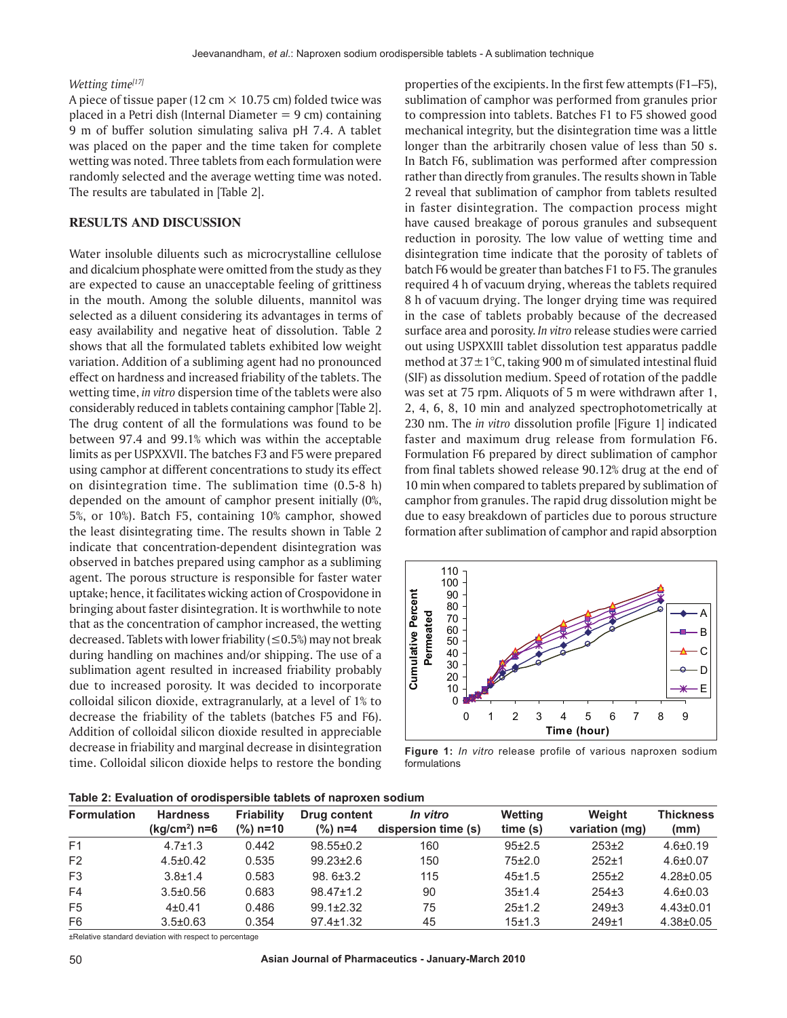#### *Wetting time[17]*

A piece of tissue paper (12 cm  $\times$  10.75 cm) folded twice was placed in a Petri dish (Internal Diameter  $= 9$  cm) containing 9 m of buffer solution simulating saliva pH 7.4. A tablet was placed on the paper and the time taken for complete wetting was noted. Three tablets from each formulation were randomly selected and the average wetting time was noted. The results are tabulated in [Table 2].

#### **RESULTS AND DISCUSSION**

Water insoluble diluents such as microcrystalline cellulose and dicalcium phosphate were omitted from the study as they are expected to cause an unacceptable feeling of grittiness in the mouth. Among the soluble diluents, mannitol was selected as a diluent considering its advantages in terms of easy availability and negative heat of dissolution. Table 2 shows that all the formulated tablets exhibited low weight variation. Addition of a subliming agent had no pronounced effect on hardness and increased friability of the tablets. The wetting time, *in vitro* dispersion time of the tablets were also considerably reduced in tablets containing camphor [Table 2]. The drug content of all the formulations was found to be between 97.4 and 99.1% which was within the acceptable limits as per USPXXVII. The batches F3 and F5 were prepared using camphor at different concentrations to study its effect on disintegration time. The sublimation time (0.5-8 h) depended on the amount of camphor present initially (0%, 5%, or 10%). Batch F5, containing 10% camphor, showed the least disintegrating time. The results shown in Table 2 indicate that concentration-dependent disintegration was observed in batches prepared using camphor as a subliming agent. The porous structure is responsible for faster water uptake; hence, it facilitates wicking action of Crospovidone in bringing about faster disintegration. It is worthwhile to note that as the concentration of camphor increased, the wetting decreased. Tablets with lower friability ( $\leq$ 0.5%) may not break during handling on machines and/or shipping. The use of a sublimation agent resulted in increased friability probably due to increased porosity. It was decided to incorporate colloidal silicon dioxide, extragranularly, at a level of 1% to decrease the friability of the tablets (batches F5 and F6). Addition of colloidal silicon dioxide resulted in appreciable decrease in friability and marginal decrease in disintegration time. Colloidal silicon dioxide helps to restore the bonding

properties of the excipients. In the first few attempts (F1–F5), sublimation of camphor was performed from granules prior to compression into tablets. Batches F1 to F5 showed good mechanical integrity, but the disintegration time was a little longer than the arbitrarily chosen value of less than 50 s. In Batch F6, sublimation was performed after compression rather than directly from granules. The results shown in Table 2 reveal that sublimation of camphor from tablets resulted in faster disintegration. The compaction process might have caused breakage of porous granules and subsequent reduction in porosity. The low value of wetting time and disintegration time indicate that the porosity of tablets of batch F6 would be greater than batches F1 to F5. The granules required 4 h of vacuum drying, whereas the tablets required 8 h of vacuum drying. The longer drying time was required in the case of tablets probably because of the decreased surface area and porosity. *In vitro* release studies were carried out using USPXXIII tablet dissolution test apparatus paddle method at  $37 \pm 1^{\circ}$ C, taking 900 m of simulated intestinal fluid (SIF) as dissolution medium. Speed of rotation of the paddle was set at 75 rpm. Aliquots of 5 m were withdrawn after 1, 2, 4, 6, 8, 10 min and analyzed spectrophotometrically at 230 nm. The *in vitro* dissolution profile [Figure 1] indicated faster and maximum drug release from formulation F6. Formulation F6 prepared by direct sublimation of camphor from final tablets showed release 90.12% drug at the end of 10 min when compared to tablets prepared by sublimation of camphor from granules. The rapid drug dissolution might be due to easy breakdown of particles due to porous structure formation after sublimation of camphor and rapid absorption



**Figure 1:** *In vitro* release profile of various naproxen sodium formulations

|  |  |  |  |  |  |  |  |  | Table 2: Evaluation of orodispersible tablets of naproxen sodium |  |  |
|--|--|--|--|--|--|--|--|--|------------------------------------------------------------------|--|--|
|  |  |  |  |  |  |  |  |  |                                                                  |  |  |

| <b>Formulation</b> | <b>Hardness</b><br>$(kg/cm2)$ n=6 | <b>Friability</b><br>$(\%)$ n=10 | <b>Drug content</b><br>$(\%)$ n=4 | In vitro<br>dispersion time (s) | Wetting<br>time (s) | Weight<br>variation (mg) | <b>Thickness</b><br>(mm) |  |
|--------------------|-----------------------------------|----------------------------------|-----------------------------------|---------------------------------|---------------------|--------------------------|--------------------------|--|
| F <sub>1</sub>     | $4.7 \pm 1.3$                     | 0.442                            | $98.55 \pm 0.2$                   | 160                             | $95+2.5$            | $253+2$                  | $4.6 \pm 0.19$           |  |
| F <sub>2</sub>     | $4.5 \pm 0.42$                    | 0.535                            | $99.23 \pm 2.6$                   | 150                             | $75+2.0$            | $252+1$                  | $4.6 \pm 0.07$           |  |
| F <sub>3</sub>     | $3.8 + 1.4$                       | 0.583                            | $98.6 \pm 3.2$                    | 115                             | $45 \pm 1.5$        | $255+2$                  | $4.28 \pm 0.05$          |  |
| F4                 | $3.5 \pm 0.56$                    | 0.683                            | $98.47 \pm 1.2$                   | 90                              | 35±1.4              | $254 \pm 3$              | $4.6 \pm 0.03$           |  |
| F <sub>5</sub>     | $4 + 0.41$                        | 0.486                            | $99.1 \pm 2.32$                   | 75                              | 25±1.2              | 249±3                    | $4.43 \pm 0.01$          |  |
| F <sub>6</sub>     | $3.5 \pm 0.63$                    | 0.354                            | $97.4 \pm 1.32$                   | 45                              | 15±1.3              | $249 + 1$                | $4.38 \pm 0.05$          |  |
|                    |                                   |                                  |                                   |                                 |                     |                          |                          |  |

*±*Relative standard deviation with respect to percentage